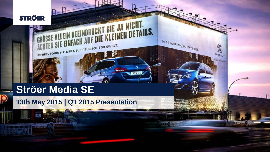

O

## **Ströer Media SE**

**UNITED WEST** 

**13th May 2015 | Q1 2015 Presentation**

ACHTEN SIE LINTAUR PEUGEOT 308 SW GT.

SE ALLEIN BEEINDRUCKT SIE JA NICHT.<br>EN SIE EINFACH AUF DIE KLEINEN DETAILS.

**MARKET** 

308 GT

MIT 5 JAHREN QUALITÄTSPLUS.

糊

PEUGEOT

**OUTER**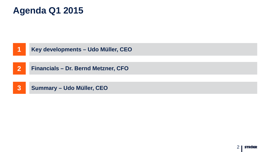### **Agenda Q1 2015**

|                         | Key developments - Udo Müller, CEO         |
|-------------------------|--------------------------------------------|
| $\overline{\mathbf{2}}$ | <b>Financials - Dr. Bernd Metzner, CFO</b> |
| $\overline{3}$          | <b>Summary - Udo Müller, CEO</b>           |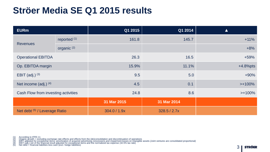### **Ströer Media SE Q1 2015 results**

| <b>EURm</b>                         |                         | Q1 2015      | Q1 2014      | $\blacktriangle$ |
|-------------------------------------|-------------------------|--------------|--------------|------------------|
|                                     | reported <sup>(1)</sup> | 161.8        | 145.7        | $+11%$           |
| <b>Revenues</b>                     | organic <sup>(2)</sup>  |              |              | $+8%$            |
| <b>Operational EBITDA</b>           |                         | 26.3         | 16.5         | +59%             |
| Op. EBITDA margin                   |                         | 15.9%        | 11.1%        | $+4.8%$ pts      |
| <b>EBIT</b> (adj.) $(3)$            |                         | 9.5          | 5.0          | $+90%$           |
| Net income (adj.) $(4)$             |                         | 4.5          | 0.1          | $>+100\%$        |
| Cash Flow from investing activities |                         | 24.8         | 8.6          | $>+100\%$        |
|                                     |                         | 31 Mar 2015  | 31 Mar 2014  |                  |
| Net debt (5) / Leverage Ratio       |                         | 304.0 / 1.9x | 328.5 / 2.7x |                  |

<sup>(1)</sup> According to IFRS 11<br>(2) Organic growth = excluding exchange rate effects and effects from the (de)consolidation and discontinuation of operations<br>(3) EBIT adjusted for exceptional items, amortization of acquired adver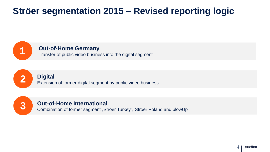### **Ströer segmentation 2015 – Revised reporting logic**



**1 Out-of-Home Germany**<br> **1** Transfer of public video business into the digital segment



**2 Digital** Extension of former digital segment by public video business



**Combination of former segment "Ströer Turkey", Ströer Poland and blowUp**<br> **3** Combination of former segment "Ströer Turkey", Ströer Poland and blowUp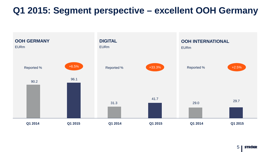### **Q1 2015: Segment perspective – excellent OOH Germany**



5 **STRÖER**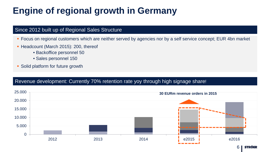## **Engine of regional growth in Germany**

### Since 2012 built up of Regional Sales Structure

- **Focus on regional customers which are neither served by agencies nor by a self service concept; EUR 4bn market**
- Headcount (March 2015): 200, thereof
	- Backoffice personnel 50
	- Sales personnel 150
- Solid platform for future growth

### Revenue development: Currently 70% retention rate yoy through high signage share!

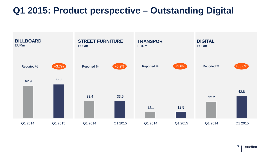### **Q1 2015: Product perspective – Outstanding Digital**



**STRÖER** 7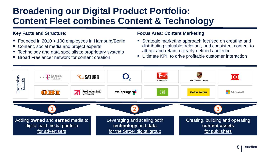### **Broadening our Digital Product Portfolio: Content Fleet combines Content & Technology**

#### **Key Facts and Structure:**

- Founded in 2010 > 100 employees in Hamburg/Berlin
- Content, social media and project experts
- Technology and data specialists: proprietary systems
- Broad Freelancer network for content creation

#### **Focus Area: Content Marketing**

- **Strategic marketing approach focused on creating and** distributing valuable, relevant, and consistent content to attract and retain a clearly-defined audience
- **Ultimate KPI: to drive profitable customer interaction**

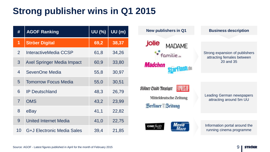# **Strong publisher wins in Q1 2015**

| #              | <b>AGOF Ranking</b>               | UU (%) | UU(m) |
|----------------|-----------------------------------|--------|-------|
| 1              | <b>Ströer Digital</b>             | 69,2   | 38,37 |
| $\overline{2}$ | InteractiveMedia CCSP             | 61,8   | 34,26 |
| 3              | <b>Axel Springer Media Impact</b> | 60,9   | 33,80 |
| 4              | SevenOne Media                    | 55,8   | 30,97 |
| 5              | <b>Tomorrow Focus Media</b>       | 55,0   | 30,51 |
| 6              | <b>IP Deutschland</b>             | 48,3   | 26,79 |
| $\overline{7}$ | <b>OMS</b>                        | 43,2   | 23,99 |
| 8              | eBay                              | 41,1   | 22,82 |
| 9              | <b>United Internet Media</b>      | 41,0   | 22,75 |
| 10             | G+J Electronic Media Sales        | 39,4   | 21,85 |



*STRÖER*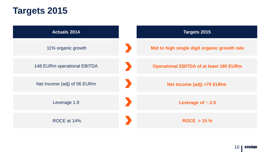### **Targets 2015**

| <b>Actuals 2014</b>                | Targets 2015                                   |
|------------------------------------|------------------------------------------------|
| 11% organic growth                 | Mid to high single digit organic growth rate   |
| <b>148 EURm operational EBITDA</b> | <b>Operational EBITDA of at least 180 EURm</b> |
| Net Income (adj) of 56 EURm        | <b>Net Income (adj) &gt;70 EURm</b>            |
| Leverage 1.9                       | Leverage of $\sim 2.0$                         |
| ROCE at 14%                        | $ROCE > 15 \%$                                 |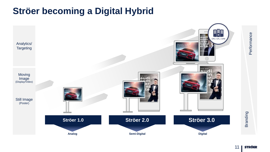### **Ströer becoming a Digital Hybrid**



Performance **Performance** 

**Branding**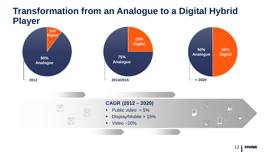### **Transformation from an Analogue to a Digital Hybrid Player**



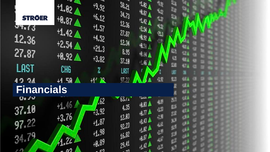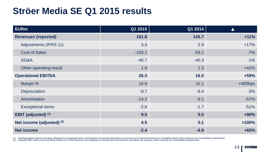### **Ströer Media SE Q1 2015 results**

| <b>EURm</b>                  | Q1 2015  | Q1 2014 | <b>A</b>  |
|------------------------------|----------|---------|-----------|
| <b>Revenues (reported)</b>   | 161.8    | 145.7   | $+11%$    |
| <b>Adjustments (IFRS 11)</b> | 3.4      | 2.9     | $+17%$    |
| <b>Cost of Sales</b>         | $-100.1$ | $-93.2$ | $-7%$     |
| SG&A                         | $-40.7$  | $-40.3$ | $-1%$     |
| Other operating result       | 1.9      | 1.3     | $+42%$    |
| <b>Operational EBITDA</b>    | 26.3     | 16.5    | $+59%$    |
| Margin %                     | 15.9     | 11.1    | $+483bps$ |
| Depreciation                 | $-9.7$   | $-9.4$  | $-3%$     |
| Amortisation                 | $-14.2$  | $-9.1$  | $-57%$    |
| <b>Exceptional items</b>     | $-2.6$   | $-1.7$  | $-51%$    |
| <b>EBIT</b> (adjusted) (1)   | 9.5      | 5.0     | $+90%$    |
| Net income (adjusted) (2)    | 4.5      | 0.1     | $>100\%$  |
| <b>Net income</b>            | $-2.4$   | $-6.9$  | $+65%$    |

(1) Earnings before interest and taxes adjusted for exceptional items, amortization of acquired advertising concessions and impairment losses on intangible assets (Joint ventures are consolidated proportional)<br>(2) Adjusted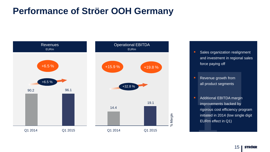### **Performance of Ströer OOH Germany**



- **Sales organization realignment** and investment in regional sales force paying off
- **Revenue growth from** all product segments
- **-** Additional EBITDA margin improvements backed by rigorous cost efficiency program initiated in 2014 (low single digit EURm effect in Q1)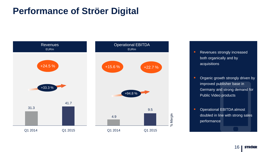### **Performance of Ströer Digital**



- **Revenues strongly increased** both organically and by acquisitions
- **•** Organic growth strongly driven by improved publisher base in Germany and strong demand for Public Video products
- **Operational EBITDA almost** doubled in line with strong sales performance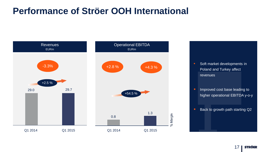### **Performance of Ströer OOH International**

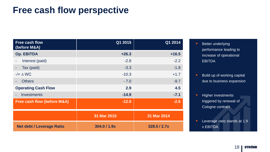### **Free cash flow perspective**

| Free cash flow<br>(before M&A)         | Q1 2015      | Q1 2014      |
|----------------------------------------|--------------|--------------|
| <b>Op. EBITDA</b>                      | $+26.3$      | $+16.5$      |
| Interest (paid)                        | $-2.8$       | $-2.2$       |
| Tax (paid)                             | $-3.3$       | $-1.8$       |
| $-/- \triangle W$ C                    | $-10.3$      | $+1.7$       |
| <b>Others</b><br>٠                     | $-7.0$       | $-9.7$       |
| <b>Operating Cash Flow</b>             | 2.9          | 4.5          |
| <b>Investments</b><br>$\sim$           | $-14.9$      | $-7.1$       |
| <b>Free cash flow (before M&amp;A)</b> | $-12.0$      | $-2.6$       |
|                                        | 31 Mar 2015  | 31 Mar 2014  |
| <b>Net debt / Leverage Ratio</b>       | 304.0 / 1.9x | 328.5 / 2.7x |

- **Better underlying** performance leading to increase of operational EBITDA
- **Build up of working capital** due to business expansion
- **Higher investments** triggered by renewal of Cologne contract
- **Leverage ratio stands at 1.9** x EBITDA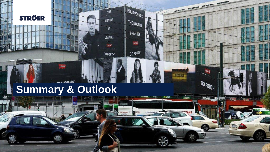

不成

**Operational Highlights Q2** 

### **AUDULADY Summary & Outlook**

Levre

EQUIPPED FOR

THE MODERN

**FRONTIER** 

Levis

GO FORTH

**STARKER** 

**119 KB** 

MitJuly

ČESKÉ BUDĚ

GOFORTH

THE

FUTURE

 $\sqrt{5}$ 

LEAVING

Lewis

**GO FORTH**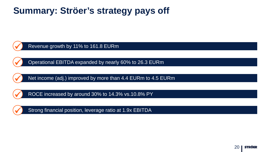### **Summary: Ströer's strategy pays off**

Revenue growth by 11% to 161.8 EURm

Operational EBITDA expanded by nearly 60% to 26.3 EURm

Net income (adj.) improved by more than 4.4 EURm to 4.5 EURm

ROCE increased by around 30% to 14.3% vs.10.8% PY



Strong financial position, leverage ratio at 1.9x EBITDA